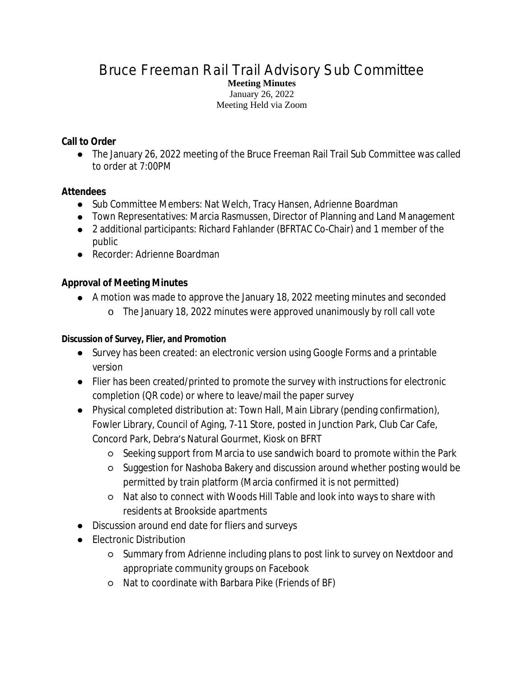## Bruce Freeman Rail Trail Advisory Sub Committee **Meeting Minutes** January 26, 2022 Meeting Held via Zoom

## **Call to Order**

● The January 26, 2022 meeting of the Bruce Freeman Rail Trail Sub Committee was called to order at 7:00PM

# **Attendees**

- Sub Committee Members: Nat Welch, Tracy Hansen, Adrienne Boardman
- Town Representatives: Marcia Rasmussen, Director of Planning and Land Management
- 2 additional participants: Richard Fahlander (BFRTAC Co-Chair) and 1 member of the public
- Recorder: Adrienne Boardman

# **Approval of Meeting Minutes**

- A motion was made to approve the January 18, 2022 meeting minutes and seconded
	- o The January 18, 2022 minutes were approved unanimously by roll call vote

### **Discussion of Survey, Flier, and Promotion**

- Survey has been created: an electronic version using Google Forms and a printable version
- Flier has been created/printed to promote the survey with instructions for electronic completion (QR code) or where to leave/mail the paper survey
- Physical completed distribution at: Town Hall, Main Library (pending confirmation), Fowler Library, Council of Aging, 7-11 Store, posted in Junction Park, Club Car Cafe, Concord Park, Debra's Natural Gourmet, Kiosk on BFRT
	- Seeking support from Marcia to use sandwich board to promote within the Park
	- Suggestion for Nashoba Bakery and discussion around whether posting would be permitted by train platform (Marcia confirmed it is not permitted)
	- Nat also to connect with Woods Hill Table and look into ways to share with residents at Brookside apartments
- Discussion around end date for fliers and surveys
- Electronic Distribution
	- Summary from Adrienne including plans to post link to survey on Nextdoor and appropriate community groups on Facebook
	- Nat to coordinate with Barbara Pike (Friends of BF)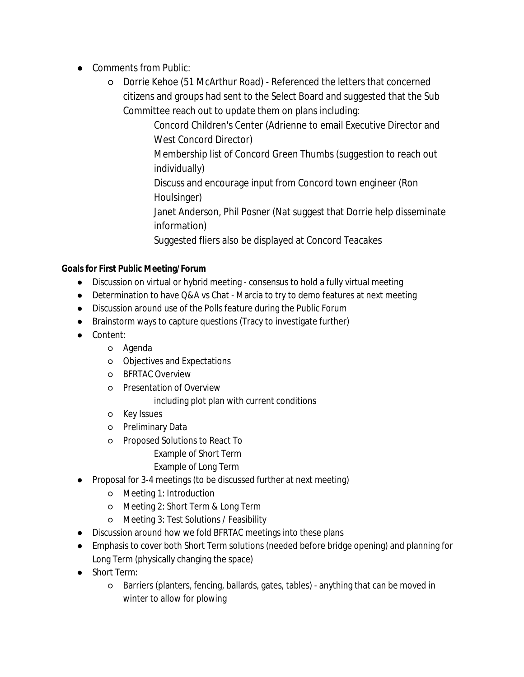- Comments from Public:
	- Dorrie Kehoe (51 McArthur Road) Referenced the letters that concerned citizens and groups had sent to the Select Board and suggested that the Sub Committee reach out to update them on plans including:

Concord Children's Center (Adrienne to email Executive Director and West Concord Director)

Membership list of Concord Green Thumbs (suggestion to reach out individually)

Discuss and encourage input from Concord town engineer (Ron Houlsinger)

Janet Anderson, Phil Posner (Nat suggest that Dorrie help disseminate information)

Suggested fliers also be displayed at Concord Teacakes

#### **Goals for First Public Meeting/Forum**

- Discussion on virtual or hybrid meeting consensus to hold a fully virtual meeting
- Determination to have Q&A vs Chat Marcia to try to demo features at next meeting
- Discussion around use of the Polls feature during the Public Forum
- Brainstorm ways to capture questions (Tracy to investigate further)
- Content:
	- Agenda
	- Objectives and Expectations
	- BFRTAC Overview
	- Presentation of Overview

including plot plan with current conditions

- Key Issues
- Preliminary Data
- Proposed Solutions to React To
	- Example of Short Term
	- Example of Long Term
- **Proposal for 3-4 meetings (to be discussed further at next meeting)** 
	- Meeting 1: Introduction
	- Meeting 2: Short Term & Long Term
	- Meeting 3: Test Solutions / Feasibility
- Discussion around how we fold BFRTAC meetings into these plans
- Emphasis to cover both Short Term solutions (needed before bridge opening) and planning for Long Term (physically changing the space)
- Short Term:
	- Barriers (planters, fencing, ballards, gates, tables) anything that can be moved in winter to allow for plowing